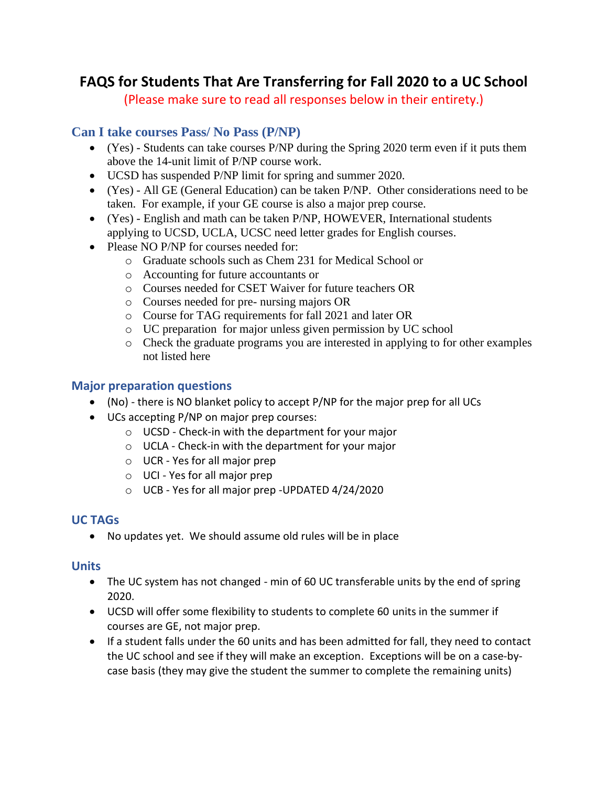# **FAQS for Students That Are Transferring for Fall 2020 to a UC School**

(Please make sure to read all responses below in their entirety.)

## **Can I take courses Pass/ No Pass (P/NP)**

- (Yes) Students can take courses P/NP during the Spring 2020 term even if it puts them above the 14-unit limit of P/NP course work.
- UCSD has suspended P/NP limit for spring and summer 2020.
- (Yes) All GE (General Education) can be taken P/NP. Other considerations need to be taken. For example, if your GE course is also a major prep course.
- (Yes) English and math can be taken P/NP, HOWEVER, International students applying to UCSD, UCLA, UCSC need letter grades for English courses.
- Please NO P/NP for courses needed for:
	- o Graduate schools such as Chem 231 for Medical School or
	- o Accounting for future accountants or
	- o Courses needed for CSET Waiver for future teachers OR
	- o Courses needed for pre- nursing majors OR
	- o Course for TAG requirements for fall 2021 and later OR
	- o UC preparation for major unless given permission by UC school
	- o Check the graduate programs you are interested in applying to for other examples not listed here

#### **Major preparation questions**

- (No) there is NO blanket policy to accept P/NP for the major prep for all UCs
- UCs accepting P/NP on major prep courses:
	- o UCSD Check-in with the department for your major
	- o UCLA Check-in with the department for your major
	- o UCR Yes for all major prep
	- o UCI Yes for all major prep
	- o UCB Yes for all major prep -UPDATED 4/24/2020

#### **UC TAGs**

• No updates yet. We should assume old rules will be in place

#### **Units**

- The UC system has not changed min of 60 UC transferable units by the end of spring 2020.
- UCSD will offer some flexibility to students to complete 60 units in the summer if courses are GE, not major prep.
- If a student falls under the 60 units and has been admitted for fall, they need to contact the UC school and see if they will make an exception. Exceptions will be on a case-bycase basis (they may give the student the summer to complete the remaining units)